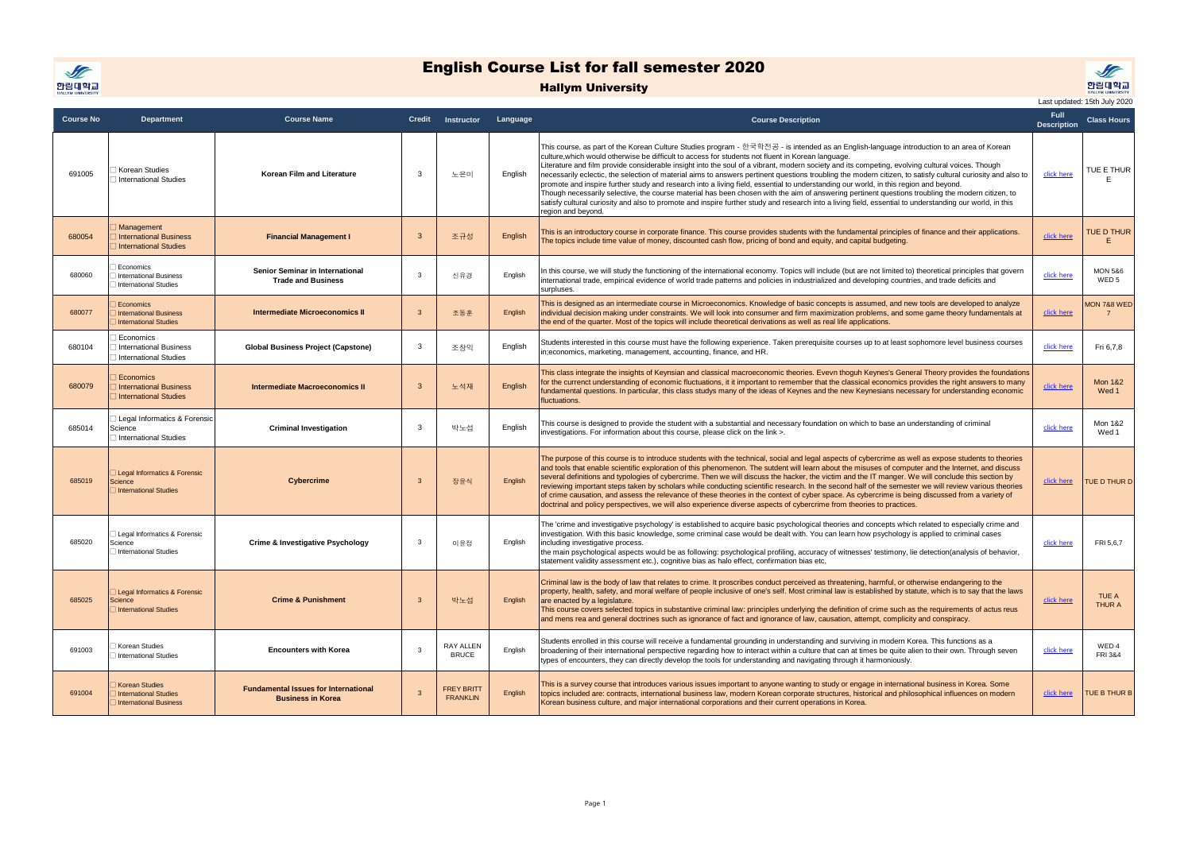

## English Course List for fall semester 2020

## Hallym University



**Course No Department Course Name Credit Instructor Language Course Description Full Description Class Hours** <sup>691005</sup> □ Korean Studies □ International Studies **Korean Film and Literature** 3 노은미 English This course, as part of the Korean Culture Studies program - 한국학전공 - is intended as an English-language introduction to an area of Korean culture,which would otherwise be difficult to access for students not fluent in Korean language. Literature and film provide considerable insight into the soul of a vibrant, modern society and its competing, evolving cultural voices. Though necessarily eclectic, the selection of material aims to answers pertinent questions troubling the modern citizen, to satisfy cultural curiosity and also to promote and inspire further study and research into a living field, essential to understanding our world, in this region and beyond. Though necessarily selective, the course material has been chosen with the aim of answering pertinent questions troubling the modern citizen, to satisfy cultural curiosity and also to promote and inspire further study and research into a living field, essential to understanding our world, in this region and beyond. [click here](http://smart.hallym.ac.kr/Course.do?cmd=viewCoursePlan&courseDTO.courseId=2019269100501&planLang=E) TUE E THUR E 680054 Management International Business International Studies **Financial Management I** 3 **I** 조규성 **English** This is an introductory course in corporate finance. This course provides students with the fundamental principles of finance and their applications. This is an introductory course in corporate finance. This course provides students with the fundamental principles of finance and their applications.<br>The topics include time value of money, discounted cash flow, pricing of E 680060 **Economics** □ International Business □<br>□ International Studies **Senior Seminar in International Trade and Business** 신유경 English In this course, we will study the functioning of the international economy. Topics will include (but are not limited to) theoretical principles that govern international trade, empirical evidence of world trade patterns and policies in industrialized and developing countries, and trade deficits and surpluses. [click here](http://smart.hallym.ac.kr/Course.do?cmd=viewCoursePlan&courseDTO.courseId=2019268006001&planLang=E) MON 5&6 W<sub>ED</sub> 5 680077 □ Economics **International Business** □ International Studies **Intermediate Microeconomics II** 3 **ACCENTED** English This is designed as an intermediate course in Microeconomics. Knowledge of basic concepts is assumed, and new tools are developed to analyze individual decision making under constraints. We will look into consumer and firm maximization problems, and some game theory fundamentals at the end of the quarter. Most of the topics will include theoretical derivations as well as real life applications. [click here](http://smart.hallym.ac.kr/Course.do?cmd=viewCoursePlan&courseDTO.courseId=2019268007701&planLang=E) MON 7&8 WED 7 680104 Economics □ International Business International Studies **Global Business Project (Capstone)** <sup>3</sup> 조창익 English Students interested in this course must have the following experience. Taken prerequisite courses up to at least sophomore level business courses Students interested in this course must have the following experience. I aken prerequisite courses up to at least sophomore level business courses [click here](http://smart.hallym.ac.kr/Course.do?cmd=viewCoursePlan&courseDTO.courseId=2019268010401&planLang=E) Fri 6,7,8<br>in:economics, marketing, management, accounting, finan 680079 **Economics** International Business □ International Studies **Intermediate Macroeconomics II** 3 노석재 English This class integrate the insights of Keynsian and classical macroeconomic theories. Evevn thoguh Keynes's General Theory provides the foundation for the currenct understanding of economic fluctuations, it it important to remember that the classical economics provides the right answers to many fundamental questions. In particular, this class studys many of the ideas of Keynes and the new Keynesians necessary for understanding economic fluctuations. [click here](http://smart.hallym.ac.kr/Course.do?cmd=viewCoursePlan&courseDTO.courseId=2019268007901&planLang=K) Mon 1&2 Wed 1 685014 Legal Informatics & Forensic Science □ International Studies **Criminal Investigation** the student of the student with a substantial and necessary foundation on which to base an understanding of criminal and rection to have streamed to the link >. Wed 1 Wed 1 685019 □ Legal Informatics & Forensic Science -------<br>⊟International Studies **Cybercrime** 3 장윤식 English The purpose of this course is to introduce students with the technical, social and legal aspects of cybercrime as well as expose students to theories and tools that enable scientific exploration of this phenomenon. The sutdent will learn about the misuses of computer and the Internet, and discuss several definitions and typologies of cybercrime. Then we will discuss the hacker, the victim and the IT manger. We will conclude this section by reviewing important steps taken by scholars while conducting scientific research. In the second half of the semester we will review various theories of crime causation, and assess the relevance of these theories in the context of cyber space. As cybercrime is being discussed from a variety of doctrinal and policy perspectives, we will also experience diverse aspects of cybercrime from theories to practices.  $click$  here  $TUE$  D THUR D 685020 **Legal Informatics & Forensic** Science □ International Studies **Crime & Investigative Psychology** 3 이윤정 English The 'crime and investigative psychology' is established to acquire basic psychological theories and concepts which related to especially crime and investigation. With this basic knowledge, some criminal case would be dealt with. You can learn how psychology is applied to criminal cases including investigative process. the main psychological aspects would be as following: psychological profiling, accuracy of witnesses' testimony, lie detection(analysis of behavior, statement validity assessment etc.), cognitive bias as halo effect, confirmation bias etc, [click here](http://smart.hallym.ac.kr/Course.do?cmd=viewCoursePlan&courseDTO.courseId=2019268502001&planLang=K) FRI 5.6.7 685025 Legal Informatics & Forensic Science □ International Studies **Crime & Punishment** 3 박노섭 English Criminal law is the body of law that relates to crime. It proscribes conduct perceived as threatening, harmful, or otherwise endangering to the property, health, safety, and moral welfare of people inclusive of one's self. Most criminal law is established by statute, which is to say that the laws are enacted by a legislature. This course covers selected topics in substantive criminal law: principles underlying the definition of crime such as the requirements of actus reus and mens rea and general doctrines such as ignorance of fact and ignorance of law, causation, attempt, complicity and conspiracy.  $\overline{\phantom{a}}$ [click here](http://smart.hallym.ac.kr/Course.do?cmd=viewCoursePlan&courseDTO.courseId=2019268502501&planLang=E)  $\overline{\phantom{a}}$  TUE A THUR A <sup>691003</sup> □ Korean Studies □ International Studies **Encounters with Korea** 3 RAY ALLEN RYALLEN English Students enrolled in this course will receive a fundamental grounding in understanding and surviving in modern Korea. This functions as a broadening of their international perspective regarding how to interact within a culture that can at times be quite alien to their own. Through seven types of encounters, they can directly develop the tools for understanding and navigating through it harmoniously. [click here](http://smart.hallym.ac.kr/Course.do?cmd=viewCoursePlan&courseDTO.courseId=2019269100301&planLang=E) WED 4 FRI 3&4 691004 Korean Studies International Studies International Business **Fundamental Issues for International Business in Korea**  $\overline{3}$ **FREY BRITT** FREY BRITT | English<br>FRANKLIN | English This is a survey course that introduces various issues important to anyone wanting to study or engage in international business in Korea. Some topics included are: contracts, international business law, modern Korean corporate structures, historical and philosophical influences on modern Korean business culture, and major international corporations and their current operations in Korea. [click here](http://smart.hallym.ac.kr/Course.do?cmd=viewCoursePlan&courseDTO.courseId=2019269100401&planLang=E) TUE B THUR B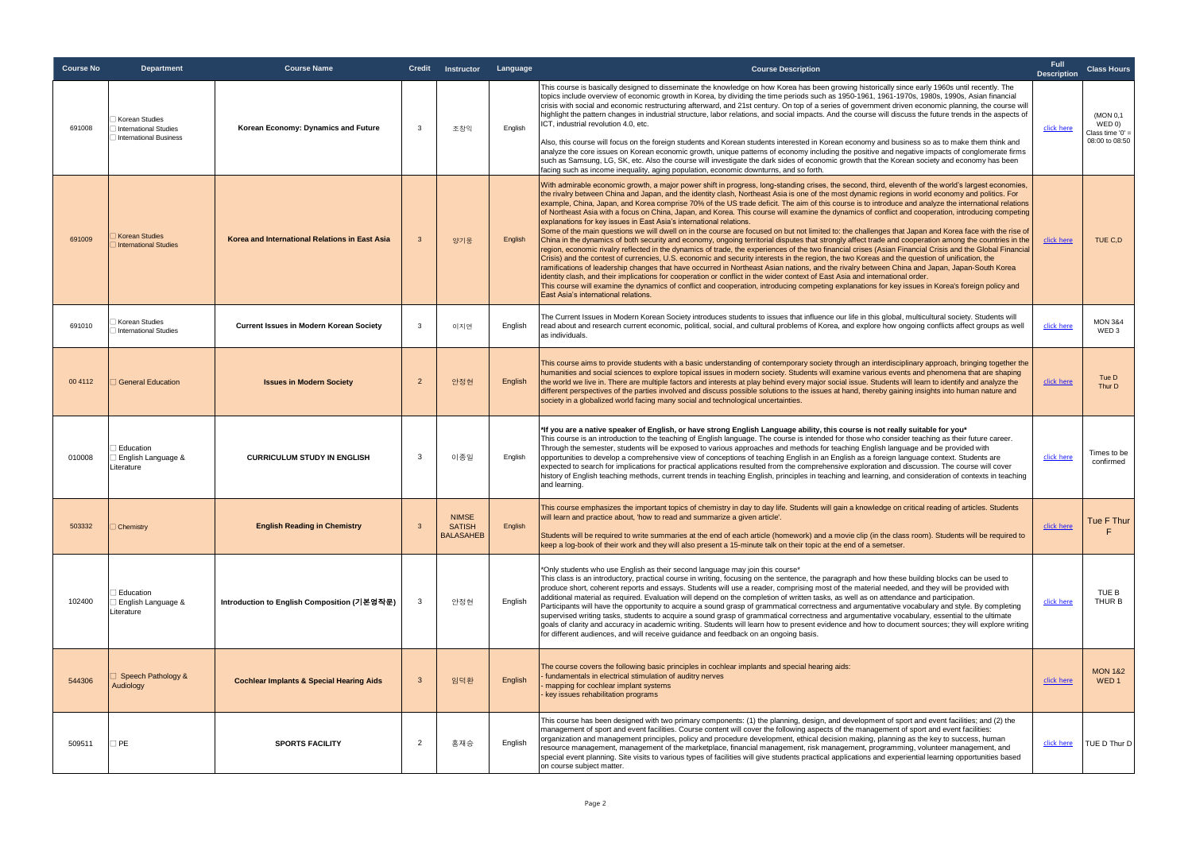| <b>Course No</b> | Department                                                               | <b>Course Name</b>                                  |                         | Credit Instructor Language                        |         | <b>Course Description</b>                                                                                                                                                                                                                                                                                                                                                                                                                                                                                                                                                                                                                                                                                                                                                                                                                                                                                                                                                                                                                                                                                                                                                                                                                                                                                                                                                                                                                                                                                                                                                                                                                                                                                                                                                                                          | <b>Full</b><br><b>Description</b> | <b>Class Hours</b>                                    |
|------------------|--------------------------------------------------------------------------|-----------------------------------------------------|-------------------------|---------------------------------------------------|---------|--------------------------------------------------------------------------------------------------------------------------------------------------------------------------------------------------------------------------------------------------------------------------------------------------------------------------------------------------------------------------------------------------------------------------------------------------------------------------------------------------------------------------------------------------------------------------------------------------------------------------------------------------------------------------------------------------------------------------------------------------------------------------------------------------------------------------------------------------------------------------------------------------------------------------------------------------------------------------------------------------------------------------------------------------------------------------------------------------------------------------------------------------------------------------------------------------------------------------------------------------------------------------------------------------------------------------------------------------------------------------------------------------------------------------------------------------------------------------------------------------------------------------------------------------------------------------------------------------------------------------------------------------------------------------------------------------------------------------------------------------------------------------------------------------------------------|-----------------------------------|-------------------------------------------------------|
| 691008           | Korean Studies<br><b>International Studies</b><br>International Business | Korean Economy: Dynamics and Future                 | $\mathbf{3}$            | 조창익                                               | English | This course is basically designed to disseminate the knowledge on how Korea has been growing historically since early 1960s until recently. The<br>topics include overview of economic growth in Korea, by dividing the time periods such as 1950-1961, 1961-1970s, 1980s, 1990s, Asian financial<br>crisis with social and economic restructuring afterward, and 21st century. On top of a series of government driven economic planning, the course will<br>highlight the pattern changes in industrial structure, labor relations, and social impacts. And the course will discuss the future trends in the aspects of<br>ICT, industrial revolution 4.0, etc.<br>Also, this course will focus on the foreign students and Korean students interested in Korean economy and business so as to make them think and                                                                                                                                                                                                                                                                                                                                                                                                                                                                                                                                                                                                                                                                                                                                                                                                                                                                                                                                                                                               | click here                        | (MON 0.1)<br>WEDO<br>Class time '0'<br>08:00 to 08:50 |
|                  |                                                                          |                                                     |                         |                                                   |         | analyze the core issues on Korean economic growth, unique patterns of economy including the positive and negative impacts of conglomerate firms<br>such as Samsung, LG, SK, etc. Also the course will investigate the dark sides of economic growth that the Korean society and economy has been<br>facing such as income inequality, aging population, economic downturns, and so forth.                                                                                                                                                                                                                                                                                                                                                                                                                                                                                                                                                                                                                                                                                                                                                                                                                                                                                                                                                                                                                                                                                                                                                                                                                                                                                                                                                                                                                          |                                   |                                                       |
| 691009           | <b>Korean Studies</b><br>International Studies                           | Korea and International Relations in East Asia      | $\mathbf{3}$            | 양기웅                                               | English | With admirable economic growth, a major power shift in progress, long-standing crises, the second, third, eleventh of the world's largest economies,<br>the rivalry between China and Japan, and the identity clash, Northeast Asia is one of the most dynamic regions in world economy and politics. For<br>example, China, Japan, and Korea comprise 70% of the US trade deficit. The aim of this course is to introduce and analyze the international relations<br>of Northeast Asia with a focus on China, Japan, and Korea. This course will examine the dynamics of conflict and cooperation, introducing competing<br>explanations for key issues in East Asia's international relations.<br>Some of the main questions we will dwell on in the course are focused on but not limited to: the challenges that Japan and Korea face with the rise of<br>China in the dynamics of both security and economy, ongoing territorial disputes that strongly affect trade and cooperation among the countries in the<br>region, economic rivalry reflected in the dynamics of trade, the experiences of the two financial crises (Asian Financial Crisis and the Global Financial<br>Crisis) and the contest of currencies, U.S. economic and security interests in the region, the two Koreas and the question of unification, the<br>ramifications of leadership changes that have occurred in Northeast Asian nations, and the rivalry between China and Japan, Japan-South Korea<br>identity clash, and their implications for cooperation or conflict in the wider context of East Asia and international order<br>This course will examine the dynamics of conflict and cooperation, introducing competing explanations for key issues in Korea's foreign policy and<br>East Asia's international relations. | click here                        | TUE C,D                                               |
| 691010           | Korean Studies<br>International Studies                                  | <b>Current Issues in Modern Korean Society</b>      | 3                       | 이지연                                               | Enalish | The Current Issues in Modern Korean Society introduces students to issues that influence our life in this global, multicultural society. Students will<br>read about and research current economic, political, social, and cultural problems of Korea, and explore how ongoing conflicts affect groups as well<br>as individuals.                                                                                                                                                                                                                                                                                                                                                                                                                                                                                                                                                                                                                                                                                                                                                                                                                                                                                                                                                                                                                                                                                                                                                                                                                                                                                                                                                                                                                                                                                  | click here                        | <b>MON 3&amp;4</b><br>WED <sub>3</sub>                |
| 00 4112          | <b>General Education</b>                                                 | <b>Issues in Modern Society</b>                     | $\overline{2}$          | 안정현                                               | English | This course aims to provide students with a basic understanding of contemporary society through an interdisciplinary approach, bringing together the<br>humanities and social sciences to explore topical issues in modern society. Students will examine various events and phenomena that are shaping<br>the world we live in. There are multiple factors and interests at play behind every major social issue. Students will learn to identify and analyze the<br>different perspectives of the parties involved and discuss possible solutions to the issues at hand, thereby gaining insights into human nature and<br>society in a globalized world facing many social and technological uncertainties.                                                                                                                                                                                                                                                                                                                                                                                                                                                                                                                                                                                                                                                                                                                                                                                                                                                                                                                                                                                                                                                                                                     | click here                        | Tue D<br>Thur D                                       |
| 010008           | Education<br>English Language &<br>Literature                            | <b>CURRICULUM STUDY IN ENGLISH</b>                  | 3                       | 이종일                                               | English | *If you are a native speaker of English, or have strong English Language ability, this course is not really suitable for you*<br>This course is an introduction to the teaching of English language. The course is intended for those who consider teaching as their future career.<br>Through the semester, students will be exposed to various approaches and methods for teaching English language and be provided with<br>opportunities to develop a comprehensive view of conceptions of teaching English in an English as a foreign language context. Students are<br>expected to search for implications for practical applications resulted from the comprehensive exploration and discussion. The course will cover<br>history of English teaching methods, current trends in teaching English, principles in teaching and learning, and consideration of contexts in teaching<br>and learning.                                                                                                                                                                                                                                                                                                                                                                                                                                                                                                                                                                                                                                                                                                                                                                                                                                                                                                           | click here                        | Times to be<br>confirmed                              |
| 503332           | <b>Chemistry</b>                                                         | <b>English Reading in Chemistry</b>                 | $\overline{\mathbf{3}}$ | <b>NIMSE</b><br><b>SATISH</b><br><b>BALASAHEB</b> | English | This course emphasizes the important topics of chemistry in day to day life. Students will gain a knowledge on critical reading of articles. Students<br>will learn and practice about, 'how to read and summarize a given article'.<br>Students will be required to write summaries at the end of each article (homework) and a movie clip (in the class room). Students will be required to<br>keep a log-book of their work and they will also present a 15-minute talk on their topic at the end of a semetser.                                                                                                                                                                                                                                                                                                                                                                                                                                                                                                                                                                                                                                                                                                                                                                                                                                                                                                                                                                                                                                                                                                                                                                                                                                                                                                | click here                        | Tue F Thur                                            |
| 102400           | Education<br>English Language &<br>Literature                            | Introduction to English Composition (기본영작문)         | 3                       | 안정현                                               | English | *Only students who use English as their second language may join this course*<br>This class is an introductory, practical course in writing, focusing on the sentence, the paragraph and how these building blocks can be used to<br>produce short, coherent reports and essays. Students will use a reader, comprising most of the material needed, and they will be provided with<br>additional material as required. Evaluation will depend on the completion of written tasks, as well as on attendance and participation.<br>Participants will have the opportunity to acquire a sound grasp of grammatical correctness and argumentative vocabulary and style. By completing<br>supervised writing tasks, students to acquire a sound grasp of grammatical correctness and argumentative vocabulary, essential to the ultimate<br>goals of clarity and accuracy in academic writing. Students will learn how to present evidence and how to document sources; they will explore writing<br>for different audiences, and will receive guidance and feedback on an ongoing basis.                                                                                                                                                                                                                                                                                                                                                                                                                                                                                                                                                                                                                                                                                                                              | click here                        | TUE B<br>THUR B                                       |
| 544306           | Speech Pathology &<br>Audiology                                          | <b>Cochlear Implants &amp; Special Hearing Aids</b> | $\mathbf{3}$            | 임덕환                                               | English | The course covers the following basic principles in cochlear implants and special hearing aids:<br>fundamentals in electrical stimulation of auditry nerves<br>mapping for cochlear implant systems<br>key issues rehabilitation programs                                                                                                                                                                                                                                                                                                                                                                                                                                                                                                                                                                                                                                                                                                                                                                                                                                                                                                                                                                                                                                                                                                                                                                                                                                                                                                                                                                                                                                                                                                                                                                          | click here                        | <b>MON 1&amp;2</b><br>WED <sub>1</sub>                |
| 509511           | $\square$ PE                                                             | <b>SPORTS FACILITY</b>                              | $\overline{2}$          | 홍재승                                               | English | This course has been designed with two primary components: (1) the planning, design, and development of sport and event facilities; and (2) the<br>management of sport and event facilities. Course content will cover the following aspects of the management of sport and event facilities:<br>organization and management principles, policy and procedure development, ethical decision making, planning as the key to success, human<br>resource management, management of the marketplace, financial management, risk management, programming, volunteer management, and<br>special event planning. Site visits to various types of facilities will give students practical applications and experiential learning opportunities based<br>on course subject matter.                                                                                                                                                                                                                                                                                                                                                                                                                                                                                                                                                                                                                                                                                                                                                                                                                                                                                                                                                                                                                                          | click here                        | TUE D Thur D                                          |